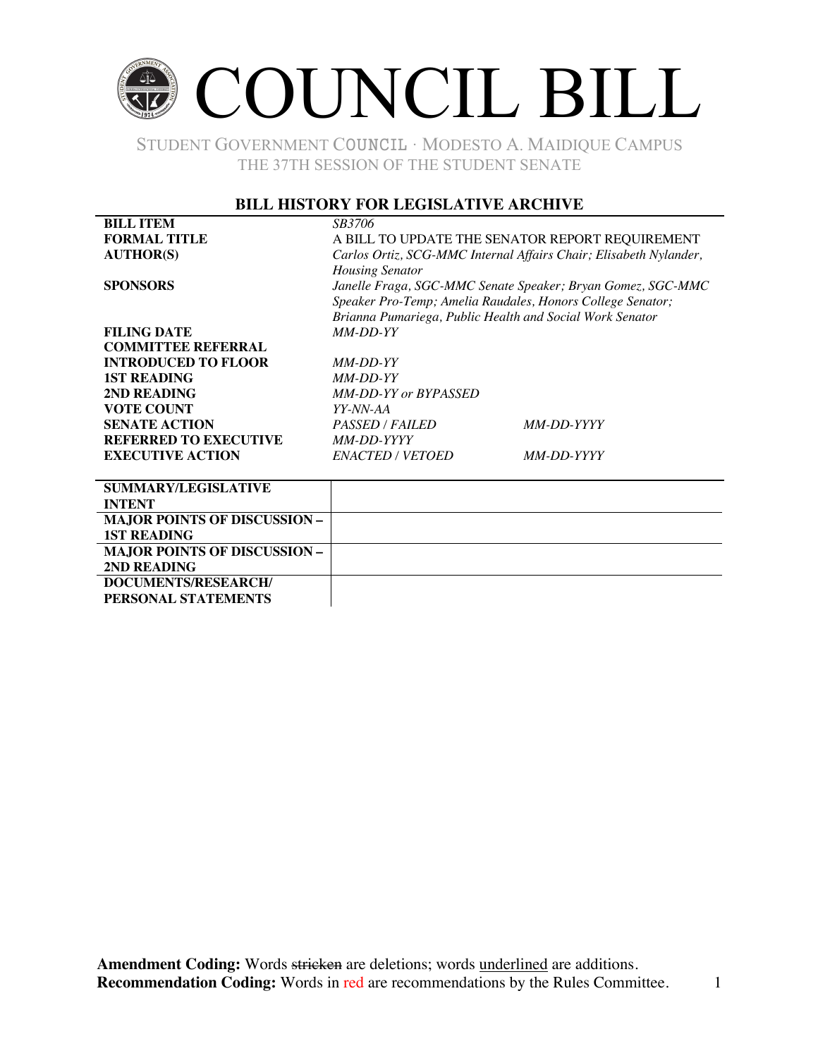### COUNCIL BILL

STUDENT GOVERNMENT COUNCIL ∙ MODESTO A. MAIDIQUE CAMPUS THE 37TH SESSION OF THE STUDENT SENATE

### **BILL HISTORY FOR LEGISLATIVE ARCHIVE**

| <b>BILL ITEM</b>                    | <i>SB3706</i>                                                     |            |  |
|-------------------------------------|-------------------------------------------------------------------|------------|--|
| <b>FORMAL TITLE</b>                 | A BILL TO UPDATE THE SENATOR REPORT REQUIREMENT                   |            |  |
| <b>AUTHOR(S)</b>                    | Carlos Ortiz, SCG-MMC Internal Affairs Chair; Elisabeth Nylander, |            |  |
|                                     | <b>Housing Senator</b>                                            |            |  |
| <b>SPONSORS</b>                     | Janelle Fraga, SGC-MMC Senate Speaker; Bryan Gomez, SGC-MMC       |            |  |
|                                     | Speaker Pro-Temp; Amelia Raudales, Honors College Senator;        |            |  |
|                                     | Brianna Pumariega, Public Health and Social Work Senator          |            |  |
| <b>FILING DATE</b>                  | $MM-DD-YY$                                                        |            |  |
| <b>COMMITTEE REFERRAL</b>           |                                                                   |            |  |
| <b>INTRODUCED TO FLOOR</b>          | <i>MM-DD-YY</i>                                                   |            |  |
| <b>1ST READING</b>                  | $MM$ -DD-YY                                                       |            |  |
| 2ND READING                         | MM-DD-YY or BYPASSED                                              |            |  |
| <b>VOTE COUNT</b>                   | YY-NN-AA                                                          |            |  |
| <b>SENATE ACTION</b>                | PASSED / FAILED                                                   | MM-DD-YYYY |  |
| <b>REFERRED TO EXECUTIVE</b>        | MM-DD-YYYY                                                        |            |  |
| <b>EXECUTIVE ACTION</b>             | ENACTED / VETOED                                                  | MM-DD-YYYY |  |
|                                     |                                                                   |            |  |
| <b>SUMMARY/LEGISLATIVE</b>          |                                                                   |            |  |
| <b>INTENT</b>                       |                                                                   |            |  |
| <b>MAJOR POINTS OF DISCUSSION -</b> |                                                                   |            |  |
| <b>1ST READING</b>                  |                                                                   |            |  |
| <b>MAJOR POINTS OF DISCUSSION -</b> |                                                                   |            |  |
| 2ND READING                         |                                                                   |            |  |

**DOCUMENTS/RESEARCH/ PERSONAL STATEMENTS**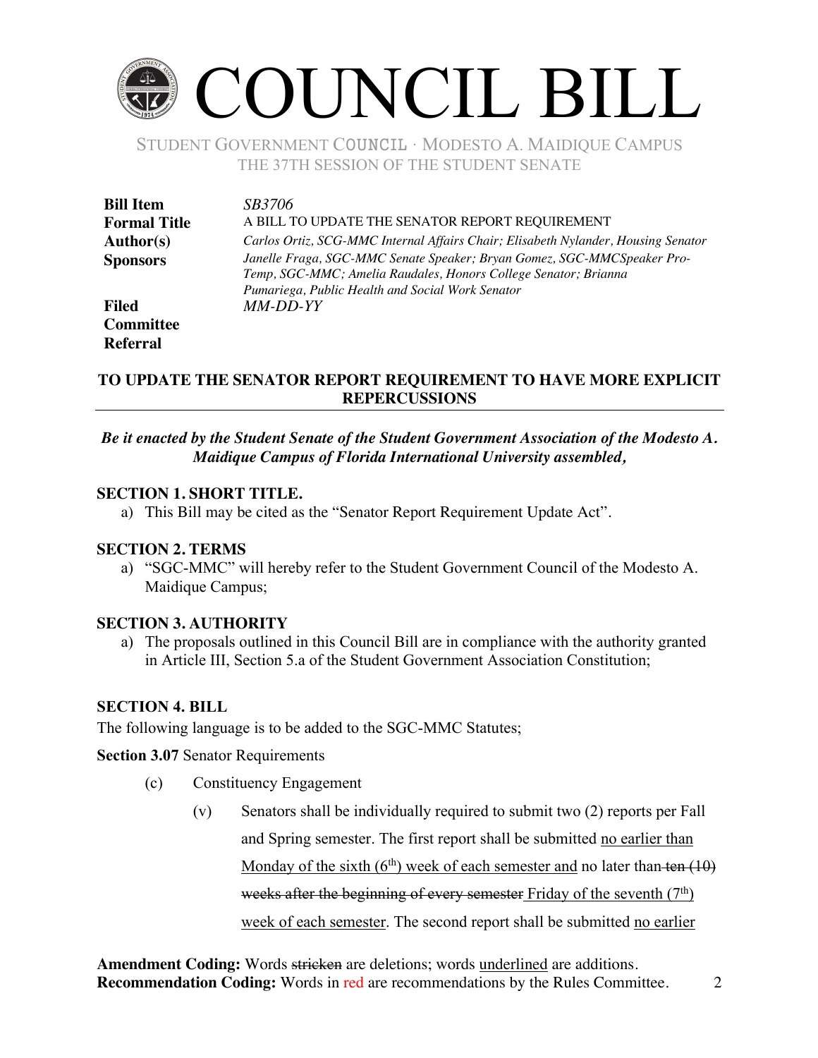## COUNCIL BILL

STUDENT GOVERNMENT COUNCIL ∙ MODESTO A. MAIDIQUE CAMPUS THE 37TH SESSION OF THE STUDENT SENATE

| <b>Bill Item</b>    | <i>SB3706</i>                                                                                                                                                                                  |
|---------------------|------------------------------------------------------------------------------------------------------------------------------------------------------------------------------------------------|
| <b>Formal Title</b> | A BILL TO UPDATE THE SENATOR REPORT REQUIREMENT                                                                                                                                                |
| <b>Author(s)</b>    | Carlos Ortiz, SCG-MMC Internal Affairs Chair; Elisabeth Nylander, Housing Senator                                                                                                              |
| <b>Sponsors</b>     | Janelle Fraga, SGC-MMC Senate Speaker; Bryan Gomez, SGC-MMCSpeaker Pro-<br>Temp, SGC-MMC; Amelia Raudales, Honors College Senator; Brianna<br>Pumariega, Public Health and Social Work Senator |
| <b>Filed</b>        | MM-DD-YY                                                                                                                                                                                       |
| <b>Committee</b>    |                                                                                                                                                                                                |

### **TO UPDATE THE SENATOR REPORT REQUIREMENT TO HAVE MORE EXPLICIT REPERCUSSIONS**

*Be it enacted by the Student Senate of the Student Government Association of the Modesto A. Maidique Campus of Florida International University assembled,*

### **SECTION 1. SHORT TITLE.**

a) This Bill may be cited as the "Senator Report Requirement Update Act".

### **SECTION 2. TERMS**

**Referral**

a) "SGC-MMC" will hereby refer to the Student Government Council of the Modesto A. Maidique Campus;

### **SECTION 3. AUTHORITY**

a) The proposals outlined in this Council Bill are in compliance with the authority granted in Article III, Section 5.a of the Student Government Association Constitution;

### **SECTION 4. BILL**

The following language is to be added to the SGC-MMC Statutes;

**Section 3.07** Senator Requirements

- (c) Constituency Engagement
	- (v) Senators shall be individually required to submit two (2) reports per Fall and Spring semester. The first report shall be submitted no earlier than Monday of the sixth  $(6<sup>th</sup>)$  week of each semester and no later than ten  $(10)$ weeks after the beginning of every semester Friday of the seventh  $(7<sup>th</sup>)$ week of each semester. The second report shall be submitted no earlier

Amendment Coding: Words stricken are deletions; words underlined are additions. **Recommendation Coding:** Words in red are recommendations by the Rules Committee. 2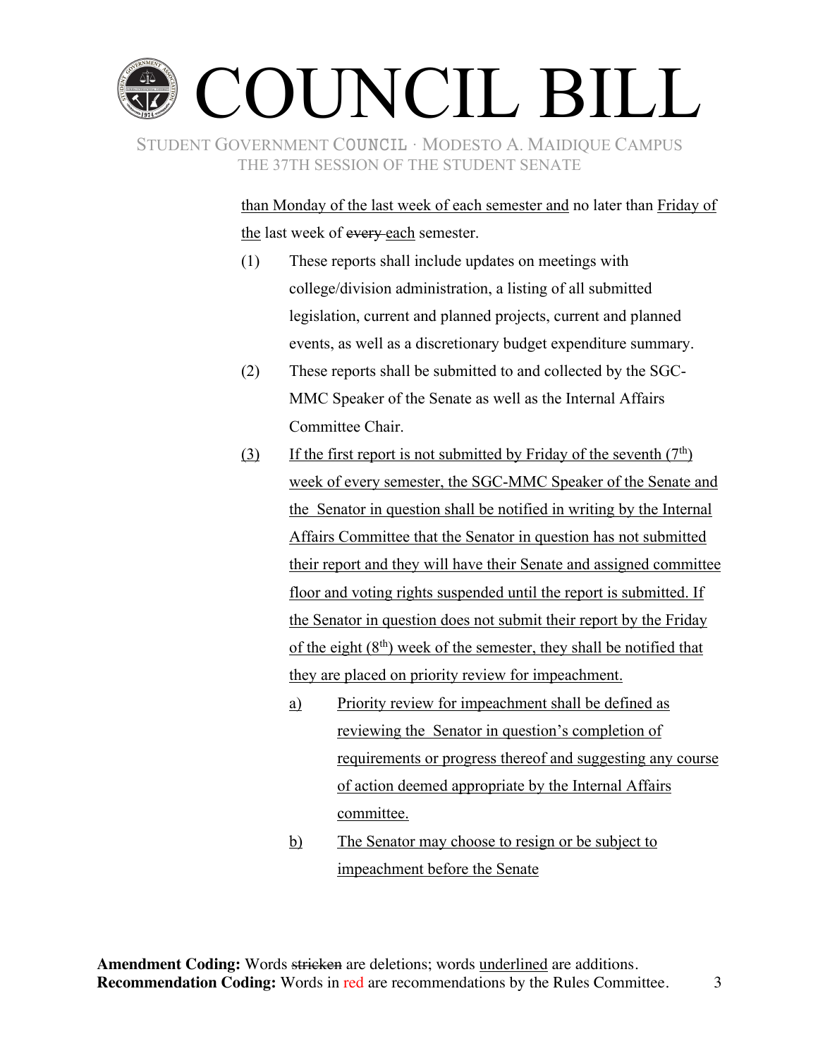# COUNCIL BILL

STUDENT GOVERNMENT COUNCIL ∙ MODESTO A. MAIDIQUE CAMPUS THE 37TH SESSION OF THE STUDENT SENATE

> than Monday of the last week of each semester and no later than Friday of the last week of every each semester.

- (1) These reports shall include updates on meetings with college/division administration, a listing of all submitted legislation, current and planned projects, current and planned events, as well as a discretionary budget expenditure summary.
- (2) These reports shall be submitted to and collected by the SGC-MMC Speaker of the Senate as well as the Internal Affairs Committee Chair.
- (3) If the first report is not submitted by Friday of the seventh  $(7<sup>th</sup>)$ week of every semester, the SGC-MMC Speaker of the Senate and the Senator in question shall be notified in writing by the Internal Affairs Committee that the Senator in question has not submitted their report and they will have their Senate and assigned committee floor and voting rights suspended until the report is submitted. If the Senator in question does not submit their report by the Friday of the eight (8<sup>th</sup>) week of the semester, they shall be notified that they are placed on priority review for impeachment.
	- a) Priority review for impeachment shall be defined as reviewing the Senator in question's completion of requirements or progress thereof and suggesting any course of action deemed appropriate by the Internal Affairs committee.
	- b) The Senator may choose to resign or be subject to impeachment before the Senate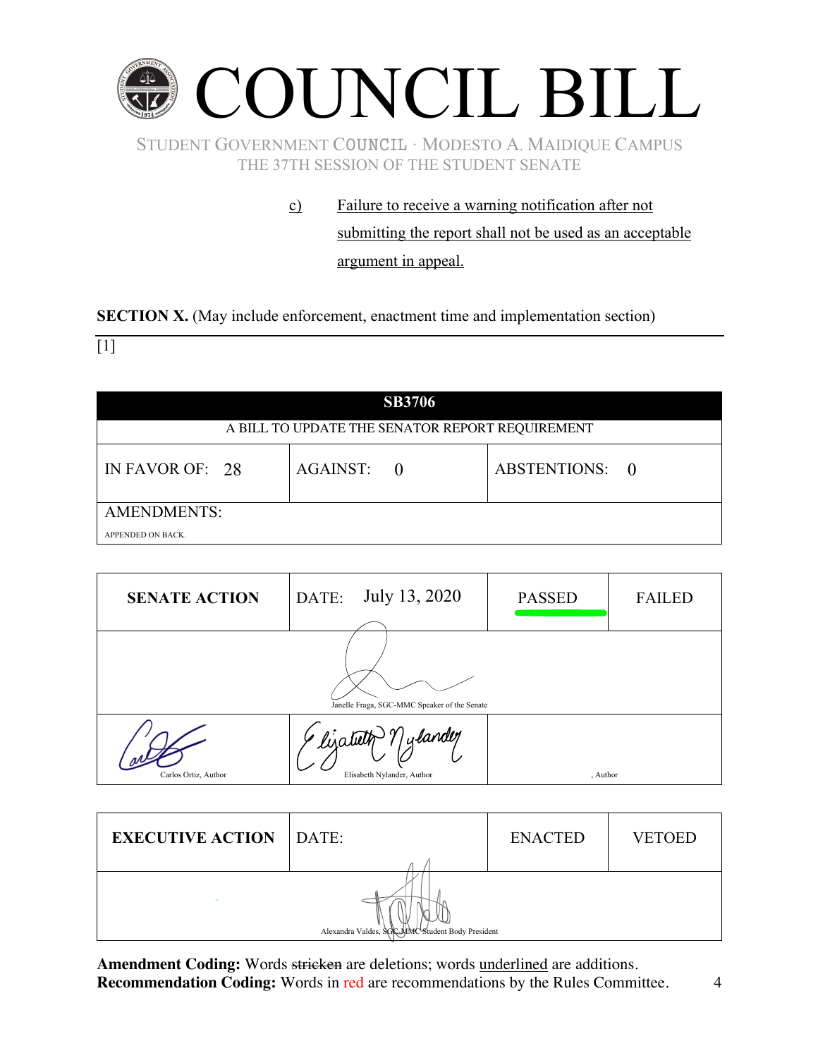

c) Failure to receive a warning notification after not submitting the report shall not be used as an acceptable argument in appeal.

**SECTION X.** (May include enforcement, enactment time and implementation section)

 $[1]$ 

| <b>SB3706</b>                                   |            |                |  |  |
|-------------------------------------------------|------------|----------------|--|--|
| A BILL TO UPDATE THE SENATOR REPORT REQUIREMENT |            |                |  |  |
| IN FAVOR OF: 28                                 | AGAINST: 0 | ABSTENTIONS: 0 |  |  |
| AMENDMENTS:                                     |            |                |  |  |
| APPENDED ON BACK.                               |            |                |  |  |

| <b>SENATE ACTION</b>                         | July 13, 2020<br>DATE:                             | <b>PASSED</b> | <b>FAILED</b> |  |
|----------------------------------------------|----------------------------------------------------|---------------|---------------|--|
| Janelle Fraga, SGC-MMC Speaker of the Senate |                                                    |               |               |  |
| Carlos Ortiz, Author                         | · lizateth Y ylandey<br>Elisabeth Nylander, Author | , Author      |               |  |

| <b>EXECUTIVE ACTION</b> DATE:                    |  | <b>ENACTED</b> | <b>VETOED</b> |  |
|--------------------------------------------------|--|----------------|---------------|--|
| Alexandra Valdes, SGC-MMC Student Body President |  |                |               |  |

Amendment Coding: Words stricken are deletions; words underlined are additions. **Recommendation Coding:** Words in red are recommendations by the Rules Committee. 4